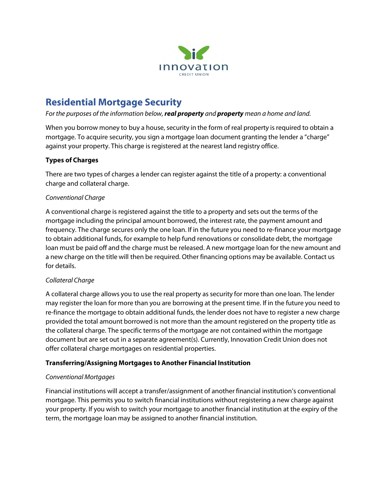

# **Residential Mortgage Security**

## *For the purposes of the information below, real property and property mean a home and land.*

When you borrow money to buy a house, security in the form of real property is required to obtain a mortgage. To acquire security, you sign a mortgage loan document granting the lender a "charge" against your property. This charge is registered at the nearest land registry office.

## **Types of Charges**

There are two types of charges a lender can register against the title of a property: a conventional charge and collateral charge.

## *Conventional Charge*

A conventional charge is registered against the title to a property and sets out the terms of the mortgage including the principal amount borrowed, the interest rate, the payment amount and frequency. The charge secures only the one loan. If in the future you need to re-finance your mortgage to obtain additional funds, for example to help fund renovations or consolidate debt, the mortgage loan must be paid off and the charge must be released. A new mortgage loan for the new amount and a new charge on the title will then be required. Other financing options may be available. Contact us for details.

#### *Collateral Charge*

A collateral charge allows you to use the real property as security for more than one loan. The lender may register the loan for more than you are borrowing at the present time. If in the future you need to re-finance the mortgage to obtain additional funds, the lender does not have to register a new charge provided the total amount borrowed is not more than the amount registered on the property title as the collateral charge. The specific terms of the mortgage are not contained within the mortgage document but are set out in a separate agreement(s). Currently, Innovation Credit Union does not offer collateral charge mortgages on residential properties.

# **Transferring/Assigning Mortgages to Another Financial Institution**

# *Conventional Mortgages*

Financial institutions will accept a transfer/assignment of another financial institution's conventional mortgage. This permits you to switch financial institutions without registering a new charge against your property. If you wish to switch your mortgage to another financial institution at the expiry of the term, the mortgage loan may be assigned to another financial institution.